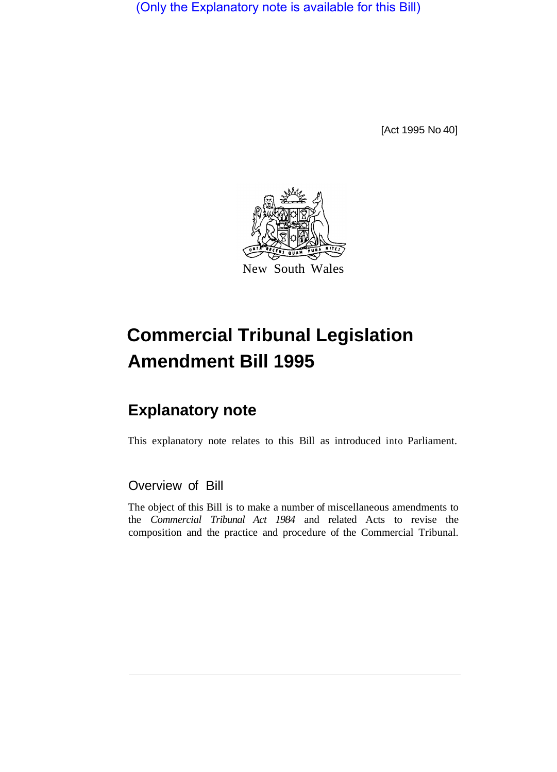(Only the Explanatory note is available for this Bill)

[Act 1995 No 40]



# **Commercial Tribunal Legislation Amendment Bill 1995**

## **Explanatory note**

This explanatory note relates to this Bill as introduced into Parliament.

### Overview of Bill

The object of this Bill is to make a number of miscellaneous amendments to the *Commercial Tribunal Act 1984* and related Acts to revise the composition and the practice and procedure of the Commercial Tribunal.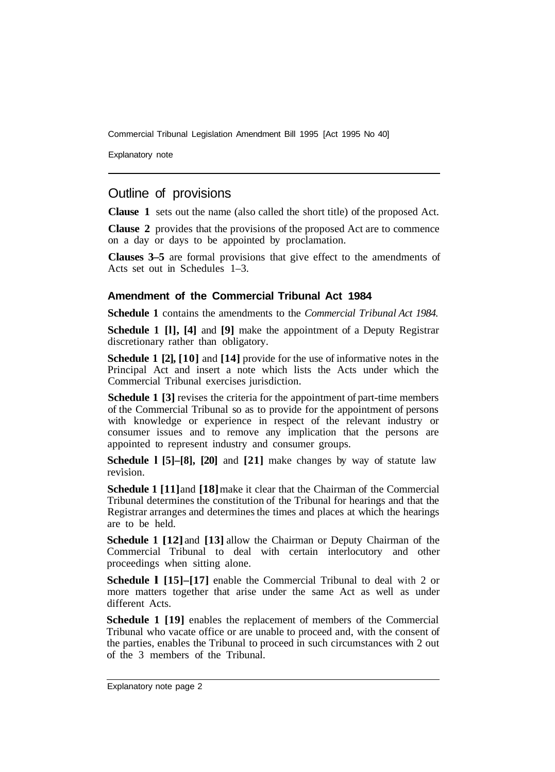Commercial Tribunal Legislation Amendment Bill 1995 [Act 1995 No 40]

Explanatory note

#### Outline of provisions

**Clause 1** sets out the name (also called the short title) of the proposed Act.

**Clause 2** provides that the provisions of the proposed Act are to commence on a day or days to be appointed by proclamation.

**Clauses 3–5** are formal provisions that give effect to the amendments of Acts set out in Schedules 1–3.

#### **Amendment of the Commercial Tribunal Act 1984**

**Schedule 1** contains the amendments to the *Commercial Tribunal Act 1984.* 

**Schedule 1 [l], [4]** and **[9]** make the appointment of a Deputy Registrar discretionary rather than obligatory.

**Schedule 1 [2], [10]** and **[14]** provide for the use of informative notes in the Principal Act and insert a note which lists the Acts under which the Commercial Tribunal exercises jurisdiction.

**Schedule 1 [3]** revises the criteria for the appointment of part-time members of the Commercial Tribunal so as to provide for the appointment of persons with knowledge or experience in respect of the relevant industry or consumer issues and to remove any implication that the persons are appointed to represent industry and consumer groups.

**Schedule l [5]–[8], [20]** and **[21]** make changes by way of statute law revision.

**Schedule 1 [11] and [18] make it clear that the Chairman of the Commercial** Tribunal determines the constitution of the Tribunal for hearings and that the Registrar arranges and determines the times and places at which the hearings are to be held.

**Schedule 1 [12]** and **[13]** allow the Chairman or Deputy Chairman of the Commercial Tribunal to deal with certain interlocutory and other proceedings when sitting alone.

**Schedule 1 [15]–[17]** enable the Commercial Tribunal to deal with 2 or more matters together that arise under the same Act as well as under different Acts.

**Schedule 1 [19]** enables the replacement of members of the Commercial Tribunal who vacate office or are unable to proceed and, with the consent of the parties, enables the Tribunal to proceed in such circumstances with 2 out of the 3 members of the Tribunal.

Explanatory note page 2